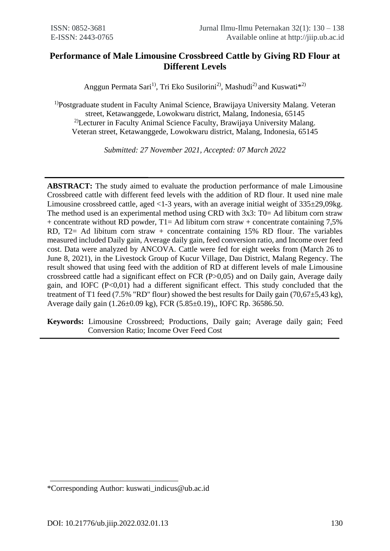# **Performance of Male Limousine Crossbreed Cattle by Giving RD Flour at Different Levels**

Anggun Permata Sari<sup>1)</sup>, Tri Eko Susilorini<sup>2)</sup>, Mashudi<sup>2)</sup> and Kuswati<sup>\*2)</sup>

<sup>1)</sup>Postgraduate student in Faculty Animal Science, Brawijaya University Malang. Veteran street, Ketawanggede, Lowokwaru district, Malang, Indonesia, 65145 <sup>2)</sup>Lecturer in Faculty Animal Science Faculty, Brawijaya University Malang. Veteran street, Ketawanggede, Lowokwaru district, Malang, Indonesia, 65145

*Submitted: 27 November 2021, Accepted: 07 March 2022*

**ABSTRACT:** The study aimed to evaluate the production performance of male Limousine Crossbreed cattle with different feed levels with the addition of RD flour. It used nine male Limousine crossbreed cattle, aged <1-3 years, with an average initial weight of  $335\pm29.09$ kg. The method used is an experimental method using CRD with 3x3: T0= Ad libitum corn straw + concentrate without RD powder,  $T1 = Ad$  libitum corn straw + concentrate containing 7.5% RD, T2= Ad libitum corn straw + concentrate containing 15% RD flour. The variables measured included Daily gain, Average daily gain, feed conversion ratio, and Income over feed cost. Data were analyzed by ANCOVA. Cattle were fed for eight weeks from (March 26 to June 8, 2021), in the Livestock Group of Kucur Village, Dau District, Malang Regency. The result showed that using feed with the addition of RD at different levels of male Limousine crossbreed cattle had a significant effect on FCR (P>0,05) and on Daily gain, Average daily gain, and IOFC  $(P<0.01)$  had a different significant effect. This study concluded that the treatment of T1 feed (7.5% "RD" flour) showed the best results for Daily gain (70,67 $\pm$ 5,43 kg), Average daily gain (1.26±0.09 kg), FCR (5.85±0.19),, IOFC Rp. 36586.50.

**Keywords:** Limousine Crossbreed; Productions, Daily gain; Average daily gain; Feed Conversion Ratio; Income Over Feed Cost

<sup>\*</sup>Corresponding Author: kuswati\_indicus@ub.ac.id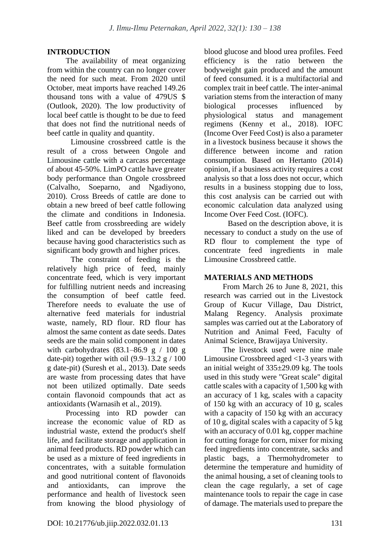### **INTRODUCTION**

The availability of meat organizing from within the country can no longer cover the need for such meat. From 2020 until October, meat imports have reached 149.26 thousand tons with a value of 479US \$ (Outlook, 2020). The low productivity of local beef cattle is thought to be due to feed that does not find the nutritional needs of beef cattle in quality and quantity.

Limousine crossbreed cattle is the result of a cross between Ongole and Limousine cattle with a carcass percentage of about 45-50%. LimPO cattle have greater body performance than Ongole crossbreed (Calvalho, Soeparno, and Ngadiyono, 2010). Cross Breeds of cattle are done to obtain a new breed of beef cattle following the climate and conditions in Indonesia. Beef cattle from crossbreeding are widely liked and can be developed by breeders because having good characteristics such as significant body growth and higher prices.

The constraint of feeding is the relatively high price of feed, mainly concentrate feed, which is very important for fulfilling nutrient needs and increasing the consumption of beef cattle feed. Therefore needs to evaluate the use of alternative feed materials for industrial waste, namely, RD flour. RD flour has almost the same content as date seeds. Dates seeds are the main solid component in dates with carbohydrates  $(83.1-86.9 \text{ g} / 100 \text{ g})$ date-pit) together with oil  $(9.9-13.2 \text{ g} / 100$ g date-pit) (Suresh et al., 2013). Date seeds are waste from processing dates that have not been utilized optimally. Date seeds contain flavonoid compounds that act as antioxidants (Warnasih et al., 2019).

Processing into RD powder can increase the economic value of RD as industrial waste, extend the product's shelf life, and facilitate storage and application in animal feed products. RD powder which can be used as a mixture of feed ingredients in concentrates, with a suitable formulation and good nutritional content of flavonoids and antioxidants, can improve the performance and health of livestock seen from knowing the blood physiology of blood glucose and blood urea profiles. Feed efficiency is the ratio between the bodyweight gain produced and the amount of feed consumed. it is a multifactorial and complex trait in beef cattle. The inter-animal variation stems from the interaction of many biological processes influenced by physiological status and management regimens (Kenny et al., 2018). IOFC (Income Over Feed Cost) is also a parameter in a livestock business because it shows the difference between income and ration consumption. Based on Hertanto (2014) opinion, if a business activity requires a cost analysis so that a loss does not occur, which results in a business stopping due to loss, this cost analysis can be carried out with economic calculation data analyzed using Income Over Feed Cost. (IOFC).

Based on the description above, it is necessary to conduct a study on the use of RD flour to complement the type of concentrate feed ingredients in male Limousine Crossbreed cattle.

### **MATERIALS AND METHODS**

From March 26 to June 8, 2021, this research was carried out in the Livestock Group of Kucur Village, Dau District, Malang Regency. Analysis proximate samples was carried out at the Laboratory of Nutrition and Animal Feed, Faculty of Animal Science, Brawijaya University.

The livestock used were nine male Limousine Crossbreed aged <1-3 years with an initial weight of 335±29.09 kg. The tools used in this study were "Great scale" digital cattle scales with a capacity of 1,500 kg with an accuracy of 1 kg, scales with a capacity of 150 kg with an accuracy of 10 g, scales with a capacity of 150 kg with an accuracy of 10 g, digital scales with a capacity of 5 kg with an accuracy of 0.01 kg, copper machine for cutting forage for corn, mixer for mixing feed ingredients into concentrate, sacks and plastic bags, a Thermohydrometer to determine the temperature and humidity of the animal housing, a set of cleaning tools to clean the cage regularly, a set of cage maintenance tools to repair the cage in case of damage. The materials used to prepare the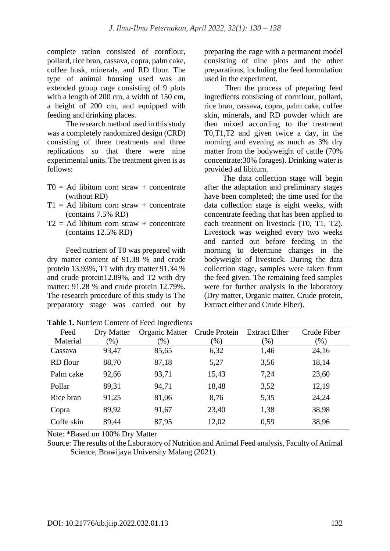complete ration consisted of cornflour, pollard, rice bran, cassava, copra, palm cake, coffee husk, minerals, and RD flour. The type of animal housing used was an extended group cage consisting of 9 plots with a length of 200 cm, a width of 150 cm, a height of 200 cm, and equipped with feeding and drinking places.

The research method used in this study was a completely randomized design (CRD) consisting of three treatments and three replications so that there were nine experimental units. The treatment given is as follows:

- $TO = Ad$  libitum corn straw + concentrate (without RD)
- $T1 = Ad$  libitum corn straw + concentrate (contains 7.5% RD)
- $T2 = Ad$  libitum corn straw + concentrate (contains 12.5% RD)

Feed nutrient of T0 was prepared with dry matter content of 91.38 % and crude protein 13.93%, T1 with dry matter 91.34 % and crude protein12.89%, and T2 with dry matter: 91.28 % and crude protein 12.79%. The research procedure of this study is The preparatory stage was carried out by

|  |  |  |  | <b>Table 1. Nutrient Content of Feed Ingredients</b> |
|--|--|--|--|------------------------------------------------------|
|--|--|--|--|------------------------------------------------------|

preparing the cage with a permanent model consisting of nine plots and the other preparations, including the feed formulation used in the experiment.

Then the process of preparing feed ingredients consisting of cornflour, pollard, rice bran, cassava, copra, palm cake, coffee skin, minerals, and RD powder which are then mixed according to the treatment T0,T1,T2 and given twice a day, in the morning and evening as much as 3% dry matter from the bodyweight of cattle (70% concentrate:30% forages). Drinking water is provided ad libitum.

The data collection stage will begin after the adaptation and preliminary stages have been completed; the time used for the data collection stage is eight weeks, with concentrate feeding that has been applied to each treatment on livestock (T0, T1, T2). Livestock was weighed every two weeks and carried out before feeding in the morning to determine changes in the bodyweight of livestock. During the data collection stage, samples were taken from the feed given. The remaining feed samples were for further analysis in the laboratory (Dry matter, Organic matter, Crude protein, Extract either and Crude Fiber).

| Feed       | Dry Matter | Organic Matter | Crude Protein | <b>Extract Ether</b> | Crude Fiber |
|------------|------------|----------------|---------------|----------------------|-------------|
| Material   | $(\% )$    | $(\%)$         | (%)           | $(\% )$              | (%)         |
| Cassava    | 93,47      | 85,65          | 6,32          | 1,46                 | 24,16       |
| RD flour   | 88,70      | 87,18          | 5,27          | 3,56                 | 18,14       |
| Palm cake  | 92,66      | 93,71          | 15,43         | 7,24                 | 23,60       |
| Pollar     | 89,31      | 94,71          | 18,48         | 3,52                 | 12,19       |
| Rice bran  | 91,25      | 81,06          | 8,76          | 5,35                 | 24,24       |
| Copra      | 89,92      | 91,67          | 23,40         | 1,38                 | 38,98       |
| Coffe skin | 89,44      | 87,95          | 12,02         | 0,59                 | 38,96       |

Note: \*Based on 100% Dry Matter

Source: The results of the Laboratory of Nutrition and Animal Feed analysis, Faculty of Animal Science, Brawijaya University Malang (2021).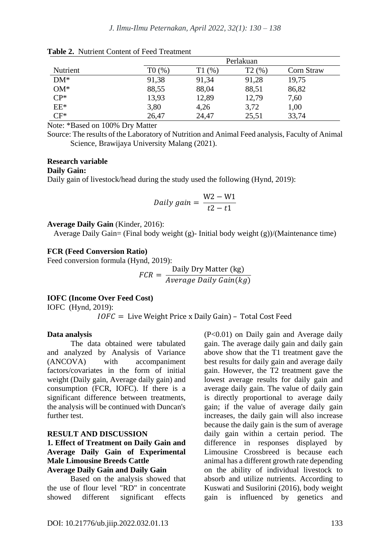|          | Perlakuan |       |       |            |
|----------|-----------|-------|-------|------------|
| Nutrient | T0(%)     | (% )  | T2(%) | Corn Straw |
| $DM^*$   | 91,38     | 91,34 | 91,28 | 19,75      |
| $OM*$    | 88,55     | 88,04 | 88,51 | 86,82      |
| $CP^*$   | 13,93     | 12,89 | 12,79 | 7,60       |
| $EE*$    | 3,80      | 4,26  | 3,72  | 1,00       |
| $CF^*$   | 26,47     | 24,47 | 25,51 | 33,74      |

**Table 2.** Nutrient Content of Feed Treatment

Note: \*Based on 100% Dry Matter

Source: The results of the Laboratory of Nutrition and Animal Feed analysis, Faculty of Animal Science, Brawijaya University Malang (2021).

### **Research variable**

### **Daily Gain:**

Daily gain of livestock/head during the study used the following (Hynd, 2019):

$$
Daily gain = \frac{W2 - W1}{t2 - t1}
$$

### **Average Daily Gain** (Kinder, 2016):

Average Daily Gain= (Final body weight (g)- Initial body weight (g))/(Maintenance time)

### **FCR (Feed Conversion Ratio)**

Feed conversion formula (Hynd, 2019):

$$
FCR = \frac{Daily Dry Matter (kg)}{Average Daily Gain(kg)}
$$

### **IOFC (Income Over Feed Cost)**

IOFC (Hynd, 2019):

 $IOFC =$  Live Weight Price x Daily Gain) – Total Cost Feed

### **Data analysis**

The data obtained were tabulated and analyzed by Analysis of Variance (ANCOVA) with accompaniment factors/covariates in the form of initial weight (Daily gain, Average daily gain) and consumption (FCR, IOFC). If there is a significant difference between treatments, the analysis will be continued with Duncan's further test.

#### **RESULT AND DISCUSSION**

### **1. Effect of Treatment on Daily Gain and Average Daily Gain of Experimental Male Limousine Breeds Cattle Average Daily Gain and Daily Gain**

Based on the analysis showed that the use of flour level "RD" in concentrate showed different significant effects

(P<0.01) on Daily gain and Average daily gain. The average daily gain and daily gain above show that the T1 treatment gave the best results for daily gain and average daily gain. However, the T2 treatment gave the lowest average results for daily gain and average daily gain. The value of daily gain is directly proportional to average daily gain; if the value of average daily gain increases, the daily gain will also increase because the daily gain is the sum of average daily gain within a certain period. The difference in responses displayed by Limousine Crossbreed is because each animal has a different growth rate depending on the ability of individual livestock to absorb and utilize nutrients. According to Kuswati and Susilorini (2016), body weight gain is influenced by genetics and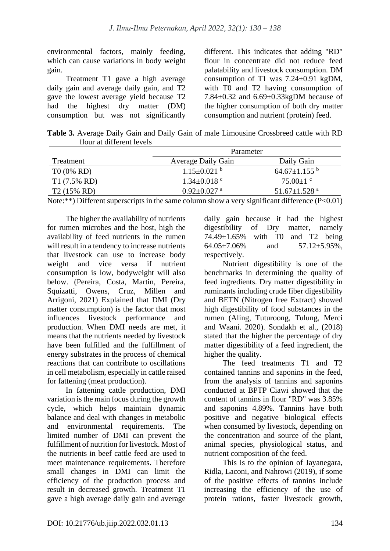environmental factors, mainly feeding, which can cause variations in body weight gain.

Treatment T1 gave a high average daily gain and average daily gain, and T2 gave the lowest average yield because T2 had the highest dry matter (DM) consumption but was not significantly different. This indicates that adding "RD" flour in concentrate did not reduce feed palatability and livestock consumption. DM consumption of T1 was 7.24±0.91 kgDM, with T0 and T2 having consumption of 7.84 $\pm$ 0.32 and 6.69 $\pm$ 0.33kgDM because of the higher consumption of both dry matter consumption and nutrient (protein) feed.

**Table 3.** Average Daily Gain and Daily Gain of male Limousine Crossbreed cattle with RD flour at different levels

|                                                                     | Parameter                     |                                                   |  |  |
|---------------------------------------------------------------------|-------------------------------|---------------------------------------------------|--|--|
| Treatment                                                           | Average Daily Gain            | Daily Gain                                        |  |  |
| $T0(0\%$ RD)                                                        | $1.15 \pm 0.021$ b            | $64.67 \pm 1.155$ b                               |  |  |
| $T1(7.5\%$ RD)                                                      | $1.34 \pm 0.018$ °            | 75.00 $\pm$ 1 °                                   |  |  |
| T <sub>2</sub> (15% RD)                                             | $0.92 \pm 0.027$ <sup>a</sup> | 51.67 $\pm$ 1.528 $a$                             |  |  |
| $\mathbf{r}$ and $\mathbf{r}$ and $\mathbf{r}$<br>$\cdots$ $\cdots$ |                               | $\cdots$<br>$\sqrt{D}$ $\wedge$ $\wedge$ $\wedge$ |  |  |

Note: $**$ ) Different superscripts in the same column show a very significant difference ( $P<0.01$ )

The higher the availability of nutrients for rumen microbes and the host, high the availability of feed nutrients in the rumen will result in a tendency to increase nutrients that livestock can use to increase body weight and vice versa if nutrient consumption is low, bodyweight will also below. (Pereira, Costa, Martin, Pereira, Squizatti, Owens, Cruz, Millen and Arrigoni, 2021) Explained that DMI (Dry matter consumption) is the factor that most influences livestock performance and production. When DMI needs are met, it means that the nutrients needed by livestock have been fulfilled and the fulfillment of energy substrates in the process of chemical reactions that can contribute to oscillations in cell metabolism, especially in cattle raised for fattening (meat production).

In fattening cattle production, DMI variation is the main focus during the growth cycle, which helps maintain dynamic balance and deal with changes in metabolic and environmental requirements. The limited number of DMI can prevent the fulfillment of nutrition for livestock. Most of the nutrients in beef cattle feed are used to meet maintenance requirements. Therefore small changes in DMI can limit the efficiency of the production process and result in decreased growth. Treatment T1 gave a high average daily gain and average daily gain because it had the highest digestibility of Dry matter, namely 74.49±1.65% with T0 and T2 being 64.05±7.06% and 57.12±5.95%, respectively.

Nutrient digestibility is one of the benchmarks in determining the quality of feed ingredients. Dry matter digestibility in ruminants including crude fiber digestibility and BETN (Nitrogen free Extract) showed high digestibility of food substances in the rumen (Aling, Tuturoong, Tulung, Merci and Waani. 2020). Sondakh et al., (2018) stated that the higher the percentage of dry matter digestibility of a feed ingredient, the higher the quality.

The feed treatments T1 and T2 contained tannins and saponins in the feed, from the analysis of tannins and saponins conducted at BPTP Ciawi showed that the content of tannins in flour "RD" was 3.85% and saponins 4.89%. Tannins have both positive and negative biological effects when consumed by livestock, depending on the concentration and source of the plant, animal species, physiological status, and nutrient composition of the feed.

This is to the opinion of Jayanegara, Ridla, Laconi, and Nahrowi (2019), if some of the positive effects of tannins include increasing the efficiency of the use of protein rations, faster livestock growth,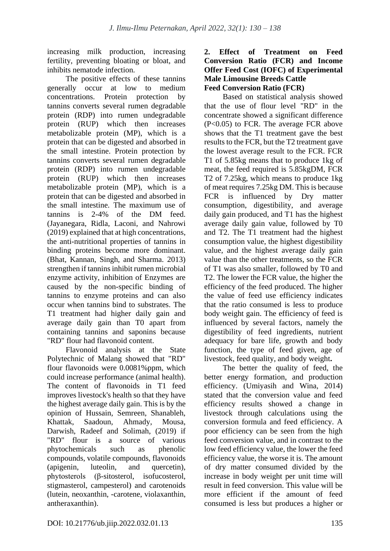increasing milk production, increasing fertility, preventing bloating or bloat, and inhibits nematode infection.

The positive effects of these tannins generally occur at low to medium concentrations. Protein protection by tannins converts several rumen degradable protein (RDP) into rumen undegradable protein (RUP) which then increases metabolizable protein (MP), which is a protein that can be digested and absorbed in the small intestine. Protein protection by tannins converts several rumen degradable protein (RDP) into rumen undegradable protein (RUP) which then increases metabolizable protein (MP), which is a protein that can be digested and absorbed in the small intestine. The maximum use of tannins is 2-4% of the DM feed. (Jayanegara, Ridla, Laconi, and Nahrowi (2019) explained that at high concentrations, the anti-nutritional properties of tannins in binding proteins become more dominant. (Bhat, Kannan, Singh, and Sharma. 2013) strengthen if tannins inhibit rumen microbial enzyme activity, inhibition of Enzymes are caused by the non-specific binding of tannins to enzyme proteins and can also occur when tannins bind to substrates. The T1 treatment had higher daily gain and average daily gain than T0 apart from containing tannins and saponins because "RD" flour had flavonoid content.

Flavonoid analysis at the State Polytechnic of Malang showed that "RD" flour flavonoids were 0.0081%ppm, which could increase performance (animal health). The content of flavonoids in T1 feed improves livestock's health so that they have the highest average daily gain. This is by the opinion of Hussain, Semreen, Shanableh, Khattak, Saadoun, Ahmady, Mousa, Darwish, Radeef and Solimah, (2019) if "RD" flour is a source of various phytochemicals such as phenolic compounds, volatile compounds, flavonoids (apigenin, luteolin, and quercetin), phytosterols (β-sitosterol, isofucosterol, stigmasterol, campesterol) and carotenoids (lutein, neoxanthin, -carotene, violaxanthin, antheraxanthin).

### **2. Effect of Treatment on Feed Conversion Ratio (FCR) and Income Offer Feed Cost (IOFC) of Experimental Male Limousine Breeds Cattle Feed Conversion Ratio (FCR)**

Based on statistical analysis showed that the use of flour level "RD" in the concentrate showed a significant difference (P<0.05) to FCR. The average FCR above shows that the T1 treatment gave the best results to the FCR, but the T2 treatment gave the lowest average result to the FCR. FCR T1 of 5.85kg means that to produce 1kg of meat, the feed required is 5.85kgDM, FCR T2 of 7.25kg, which means to produce 1kg of meat requires 7.25kg DM. This is because FCR is influenced by Dry matter consumption, digestibility, and average daily gain produced, and T1 has the highest average daily gain value, followed by T0 and T2. The T1 treatment had the highest consumption value, the highest digestibility value, and the highest average daily gain value than the other treatments, so the FCR of T1 was also smaller, followed by T0 and T2. The lower the FCR value, the higher the efficiency of the feed produced. The higher the value of feed use efficiency indicates that the ratio consumed is less to produce body weight gain. The efficiency of feed is influenced by several factors, namely the digestibility of feed ingredients, nutrient adequacy for bare life, growth and body function, the type of feed given, age of livestock, feed quality, and body weight**.**

The better the quality of feed, the better energy formation, and production efficiency. (Umiyasih and Wina, 2014) stated that the conversion value and feed efficiency results showed a change in livestock through calculations using the conversion formula and feed efficiency. A poor efficiency can be seen from the high feed conversion value, and in contrast to the low feed efficiency value, the lower the feed efficiency value, the worse it is. The amount of dry matter consumed divided by the increase in body weight per unit time will result in feed conversion. This value will be more efficient if the amount of feed consumed is less but produces a higher or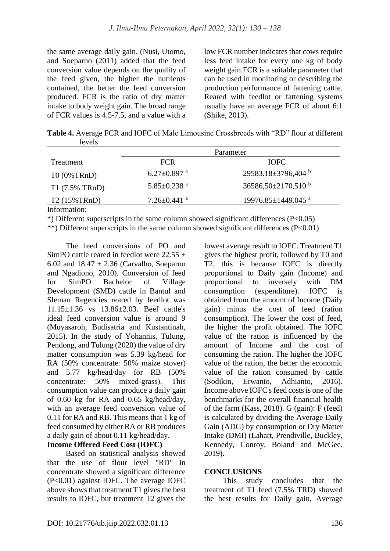the same average daily gain. (Nusi, Utomo, and Soeparno (2011) added that the feed conversion value depends on the quality of the feed given, the higher the nutrients contained, the better the feed conversion produced. FCR is the ratio of dry matter intake to body weight gain. The broad range of FCR values is 4.5-7.5, and a value with a low FCR number indicates that cows require less feed intake for every one kg of body weight gain.FCR is a suitable parameter that can be used in monitoring or describing the production performance of fattening cattle. Reared with feedlot or fattening systems usually have an average FCR of about 6:1 (Shike, 2013).

**Table 4.** Average FCR and IOFC of Male Limousine Crossbreeds with "RD" flour at different levels

|                                                                 | Parameter                     |                                      |  |
|-----------------------------------------------------------------|-------------------------------|--------------------------------------|--|
| Treatment                                                       | <b>FCR</b>                    | <b>IOFC</b>                          |  |
| $T0(0\%TRnD)$                                                   | $6.27 \pm 0.897$ <sup>a</sup> | $29583.18 \pm 3796,404$ b            |  |
| T1 (7.5% TRnD)                                                  | $5.85 \pm 0.238$ <sup>a</sup> | 36586,50 $\pm$ 2170,510 <sup>b</sup> |  |
| T2 (15%TRnD)                                                    | $7.26 \pm 0.441$ <sup>a</sup> | $19976.85 \pm 1449.045$ <sup>a</sup> |  |
| $\mathbf{L} \cdot \mathbf{L}$ and $\mathbf{L} \cdot \mathbf{L}$ |                               |                                      |  |

Information:

\*) Different superscripts in the same column showed significant differences (P<0.05)

\*\*) Different superscripts in the same column showed significant differences (P<0.01)

The feed conversions of PO and SimPO cattle reared in feedlot were  $22.55 \pm 1$ 6.02 and  $18.47 \pm 2.36$  (Carvalho, Soeparno and Ngadiono, 2010). Conversion of feed for SimPO Bachelor of Village Development (SMD) cattle in Bantul and Sleman Regencies reared by feedlot was 11.15±1.36 vs 13.86±2.03. Beef cattle's ideal feed conversion value is around 9 (Muyasaroh, Budisatria and Kustantinah, 2015). In the study of Yohannis, Tulung, Pendong, and Tulung (2020) the value of dry matter consumption was 5.39 kg/head for RA (50% concentrate: 50% maize stover) and 5.77 kg/head/day for RB (50% concentrate: 50% mixed-grass). This consumption value can produce a daily gain of 0.60 kg for RA and 0.65 kg/head/day, with an average feed conversion value of 0.11 for RA and RB. This means that 1 kg of feed consumed by either RA or RB produces a daily gain of about 0.11 kg/head/day.

**Income Offered Feed Cost (IOFC)**

Based on statistical analysis showed that the use of flour level "RD" in concentrate showed a significant difference (P<0.01) against IOFC. The average IOFC above shows that treatment T1 gives the best results to IOFC, but treatment T2 gives the lowest average result to IOFC. Treatment T1 gives the highest profit, followed by T0 and T2, this is because IOFC is directly proportional to Daily gain (Income) and proportional to inversely with DM consumption (expenditure). IOFC is obtained from the amount of Income (Daily gain) minus the cost of feed (ration consumption). The lower the cost of feed, the higher the profit obtained. The IOFC value of the ration is influenced by the amount of Income and the cost of consuming the ration. The higher the IOFC value of the ration, the better the economic value of the ration consumed by cattle (Sodikin, Erwanto, Adhianto, 2016). Income above IOFC's feed costs is one of the benchmarks for the overall financial health of the farm (Kass, 2018). G (gain): F (feed) is calculated by dividing the Average Daily Gain (ADG) by consumption or Dry Matter Intake (DMI) (Lahart, Prendiville, Buckley, Kennedy, Conroy, Boland and McGee. 2019).

## **CONCLUSIONS**

This study concludes that the treatment of T1 feed (7.5% TRD) showed the best results for Daily gain, Average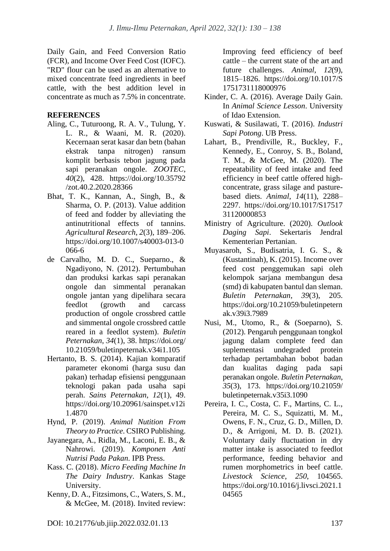Daily Gain, and Feed Conversion Ratio (FCR), and Income Over Feed Cost (IOFC). "RD" flour can be used as an alternative to mixed concentrate feed ingredients in beef cattle, with the best addition level in concentrate as much as 7.5% in concentrate.

# **REFERENCES**

- Aling, C., Tuturoong, R. A. V., Tulung, Y. L. R., & Waani, M. R. (2020). Kecernaan serat kasar dan betn (bahan ekstrak tanpa nitrogen) ransum komplit berbasis tebon jagung pada sapi peranakan ongole. *ZOOTEC*, *40*(2), 428. https://doi.org/10.35792 /zot.40.2.2020.28366
- Bhat, T. K., Kannan, A., Singh, B., & Sharma, O. P. (2013). Value addition of feed and fodder by alleviating the antinutritional effects of tannins. *Agricultural Research*, *2*(3), 189–206. https://doi.org/10.1007/s40003-013-0 066-6
- de Carvalho, M. D. C., Sueparno., & Ngadiyono, N. (2012). Pertumbuhan dan produksi karkas sapi peranakan ongole dan simmental peranakan ongole jantan yang dipelihara secara feedlot (growth and carcass production of ongole crossbred cattle and simmental ongole crossbred cattle reared in a feedlot system). *Buletin Peternakan*, *34*(1), 38. https://doi.org/ 10.21059/buletinpeternak.v34i1.105
- Hertanto, B. S. (2014). Kajian komparatif parameter ekonomi (harga susu dan pakan) terhadap efisiensi penggunaan teknologi pakan pada usaha sapi perah. *Sains Peternakan*, *12*(1), 49. https://doi.org/10.20961/sainspet.v12i 1.4870
- Hynd, P. (2019). *Animal Nutition From Theory to Practice*. CSIRO Publishing.
- Jayanegara, A., Ridla, M., Laconi, E. B., & Nahrowi. (2019). *Komponen Anti Nutrisi Pada Pakan*. IPB Press.
- Kass. C. (2018). *Micro Feeding Machine In The Dairy Industry*. Kankas Stage University.
- Kenny, D. A., Fitzsimons, C., Waters, S. M., & McGee, M. (2018). Invited review:

Improving feed efficiency of beef cattle – the current state of the art and future challenges. *Animal*, *12*(9), 1815–1826. https://doi.org/10.1017/S 1751731118000976

- Kinder, C. A. (2016). Average Daily Gain. In *Animal Science Lesson*. University of Idao Extension.
- Kuswati, & Susilawati, T. (2016). *Industri Sapi Potong*. UB Press.
- Lahart, B., Prendiville, R., Buckley, F., Kennedy, E., Conroy, S. B., Boland, T. M., & McGee, M. (2020). The repeatability of feed intake and feed efficiency in beef cattle offered highconcentrate, grass silage and pasturebased diets. *Animal*, *14*(11), 2288– 2297. https://doi.org/10.1017/S17517 31120000853
- Ministry of Agriculture. (2020). *Outlook Daging Sapi*. Sekertaris Jendral Kementerian Pertanian.
- Muyasaroh, S., Budisatria, I. G. S., & (Kustantinah), K. (2015). Income over feed cost penggemukan sapi oleh kelompok sarjana membangun desa (smd) di kabupaten bantul dan sleman. *Buletin Peternakan*, *39*(3), 205. https://doi.org/10.21059/buletinpetern ak.v39i3.7989
- Nusi, M., Utomo, R., & (Soeparno), S. (2012). Pengaruh penggunaan tongkol jagung dalam complete feed dan suplementasi undegraded protein terhadap pertambahan bobot badan dan kualitas daging pada sapi peranakan ongole. *Buletin Peternakan*, *35*(3), 173. https://doi.org/10.21059/ buletinpeternak.v35i3.1090
- Pereira, I. C., Costa, C. F., Martins, C. L., Pereira, M. C. S., Squizatti, M. M., Owens, F. N., Cruz, G. D., Millen, D. D., & Arrigoni, M. D. B. (2021). Voluntary daily fluctuation in dry matter intake is associated to feedlot performance, feeding behavior and rumen morphometrics in beef cattle. *Livestock Science*, *250*, 104565. https://doi.org/10.1016/j.livsci.2021.1 04565